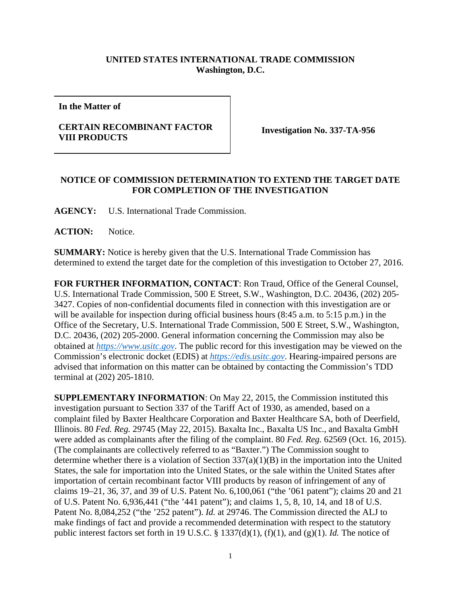## **UNITED STATES INTERNATIONAL TRADE COMMISSION Washington, D.C.**

**In the Matter of** 

## **CERTAIN RECOMBINANT FACTOR VIII PRODUCTS Investigation No. 337-TA-956**

## **NOTICE OF COMMISSION DETERMINATION TO EXTEND THE TARGET DATE FOR COMPLETION OF THE INVESTIGATION**

**AGENCY:** U.S. International Trade Commission.

**ACTION:** Notice.

**SUMMARY:** Notice is hereby given that the U.S. International Trade Commission has determined to extend the target date for the completion of this investigation to October 27, 2016.

**FOR FURTHER INFORMATION, CONTACT**: Ron Traud, Office of the General Counsel, U.S. International Trade Commission, 500 E Street, S.W., Washington, D.C. 20436, (202) 205- 3427. Copies of non-confidential documents filed in connection with this investigation are or will be available for inspection during official business hours (8:45 a.m. to 5:15 p.m.) in the Office of the Secretary, U.S. International Trade Commission, 500 E Street, S.W., Washington, D.C. 20436, (202) 205-2000. General information concerning the Commission may also be obtained at *https://www.usitc.gov*. The public record for this investigation may be viewed on the Commission's electronic docket (EDIS) at *https://edis.usitc.gov*. Hearing-impaired persons are advised that information on this matter can be obtained by contacting the Commission's TDD terminal at (202) 205-1810.

**SUPPLEMENTARY INFORMATION**: On May 22, 2015, the Commission instituted this investigation pursuant to Section 337 of the Tariff Act of 1930, as amended, based on a complaint filed by Baxter Healthcare Corporation and Baxter Healthcare SA, both of Deerfield, Illinois. 80 *Fed. Reg.* 29745 (May 22, 2015). Baxalta Inc., Baxalta US Inc., and Baxalta GmbH were added as complainants after the filing of the complaint. 80 *Fed. Reg.* 62569 (Oct. 16, 2015). (The complainants are collectively referred to as "Baxter.") The Commission sought to determine whether there is a violation of Section  $337(a)(1)(B)$  in the importation into the United States, the sale for importation into the United States, or the sale within the United States after importation of certain recombinant factor VIII products by reason of infringement of any of claims 19–21, 36, 37, and 39 of U.S. Patent No. 6,100,061 ("the '061 patent"); claims 20 and 21 of U.S. Patent No. 6,936,441 ("the '441 patent"); and claims 1, 5, 8, 10, 14, and 18 of U.S. Patent No. 8,084,252 ("the '252 patent"). *Id.* at 29746. The Commission directed the ALJ to make findings of fact and provide a recommended determination with respect to the statutory public interest factors set forth in 19 U.S.C. § 1337(d)(1), (f)(1), and (g)(1). *Id.* The notice of